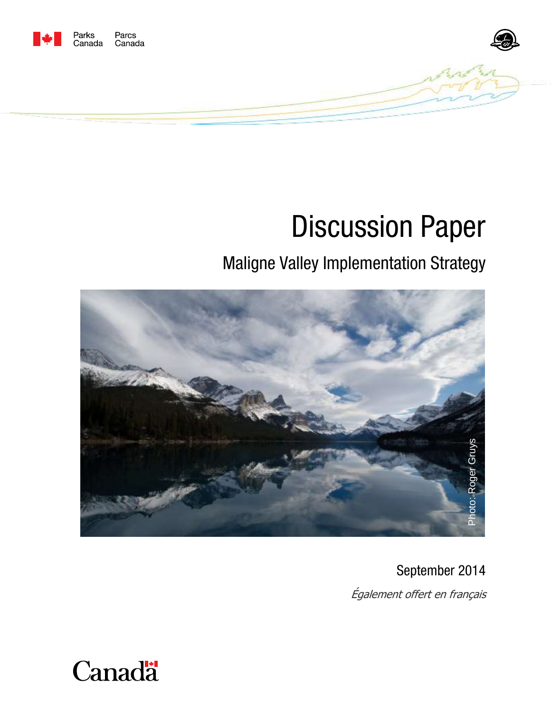



# Discussion Paper

# Maligne Valley Implementation Strategy



September 2014

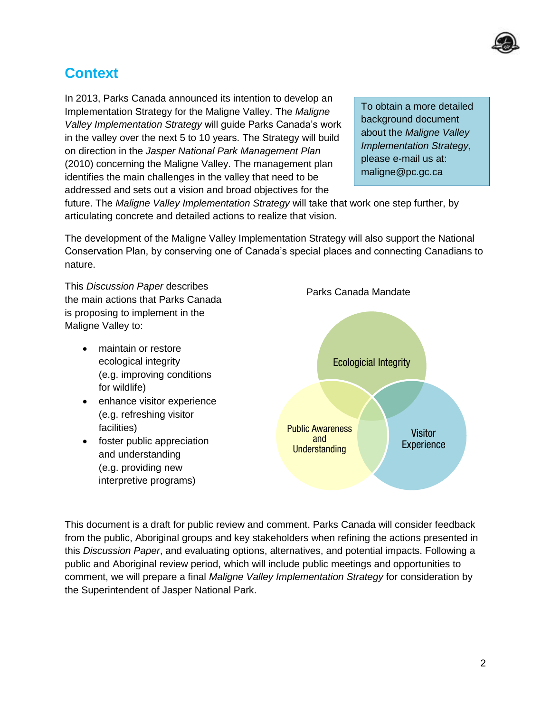

## **Context**

In 2013, Parks Canada announced its intention to develop an Implementation Strategy for the Maligne Valley. The *Maligne Valley Implementation Strategy* will guide Parks Canada's work in the valley over the next 5 to 10 years. The Strategy will build on direction in the *Jasper National Park Management Plan* (2010) concerning the Maligne Valley. The management plan identifies the main challenges in the valley that need to be addressed and sets out a vision and broad objectives for the

To obtain a more detailed background document about the *Maligne Valley Implementation Strategy*, please e-mail us at: maligne@pc.gc.ca

future. The *Maligne Valley Implementation Strategy* will take that work one step further, by articulating concrete and detailed actions to realize that vision.

The development of the Maligne Valley Implementation Strategy will also support the National Conservation Plan, by conserving one of Canada's special places and connecting Canadians to nature.

This *Discussion Paper* describes the main actions that Parks Canada is proposing to implement in the Maligne Valley to:

- maintain or restore ecological integrity (e.g. improving conditions for wildlife)
- enhance visitor experience (e.g. refreshing visitor facilities)
- foster public appreciation and understanding (e.g. providing new interpretive programs)



This document is a draft for public review and comment. Parks Canada will consider feedback from the public, Aboriginal groups and key stakeholders when refining the actions presented in this *Discussion Paper*, and evaluating options, alternatives, and potential impacts. Following a public and Aboriginal review period, which will include public meetings and opportunities to comment, we will prepare a final *Maligne Valley Implementation Strategy* for consideration by the Superintendent of Jasper National Park.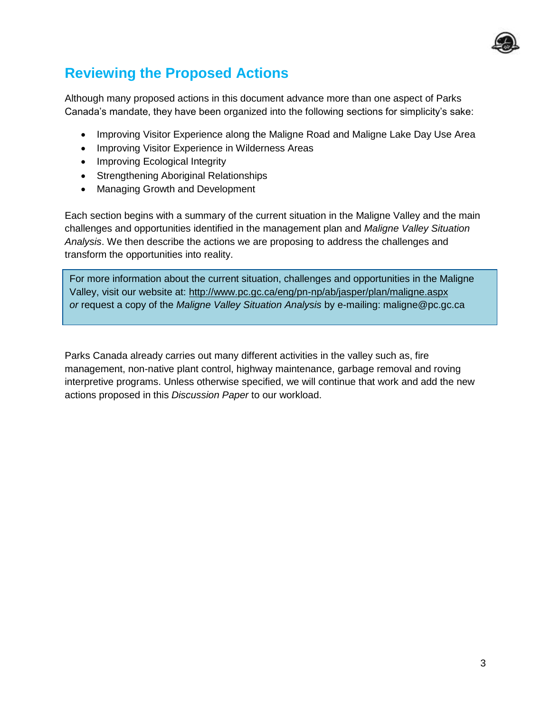

# **Reviewing the Proposed Actions**

Although many proposed actions in this document advance more than one aspect of Parks Canada's mandate, they have been organized into the following sections for simplicity's sake:

- Improving Visitor Experience along the Maligne Road and Maligne Lake Day Use Area
- Improving Visitor Experience in Wilderness Areas
- Improving Ecological Integrity
- Strengthening Aboriginal Relationships
- Managing Growth and Development

Each section begins with a summary of the current situation in the Maligne Valley and the main challenges and opportunities identified in the management plan and *Maligne Valley Situation Analysis*. We then describe the actions we are proposing to address the challenges and transform the opportunities into reality.

For more information about the current situation, challenges and opportunities in the Maligne Valley, visit our website at: <http://www.pc.gc.ca/eng/pn-np/ab/jasper/plan/maligne.aspx> *or* request a copy of the *Maligne Valley Situation Analysis* by e-mailing: maligne@pc.gc.ca

Parks Canada already carries out many different activities in the valley such as, fire management, non-native plant control, highway maintenance, garbage removal and roving interpretive programs. Unless otherwise specified, we will continue that work and add the new actions proposed in this *Discussion Paper* to our workload.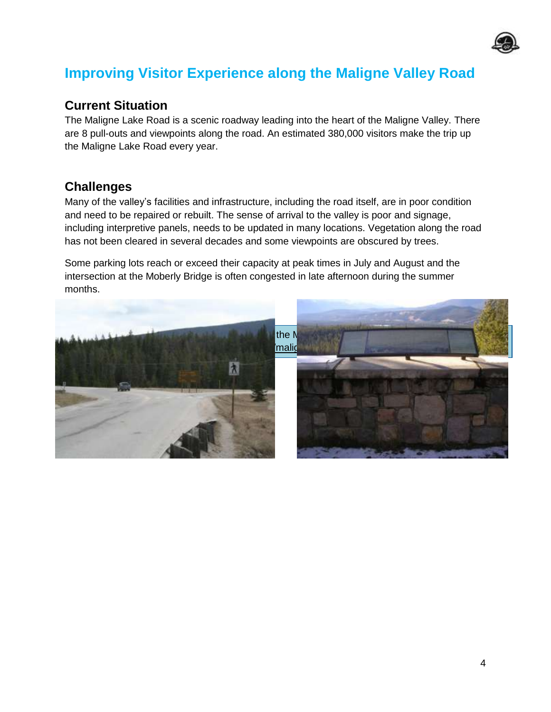

## **Improving Visitor Experience along the Maligne Valley Road**

#### **Current Situation**

The Maligne Lake Road is a scenic roadway leading into the heart of the Maligne Valley. There are 8 pull-outs and viewpoints along the road. An estimated 380,000 visitors make the trip up the Maligne Lake Road every year.

#### **Challenges**

Many of the valley's facilities and infrastructure, including the road itself, are in poor condition and need to be repaired or rebuilt. The sense of arrival to the valley is poor and signage, including interpretive panels, needs to be updated in many locations. Vegetation along the road has not been cleared in several decades and some viewpoints are obscured by trees.

Some parking lots reach or exceed their capacity at peak times in July and August and the intersection at the Moberly Bridge is often congested in late afternoon during the summer months.

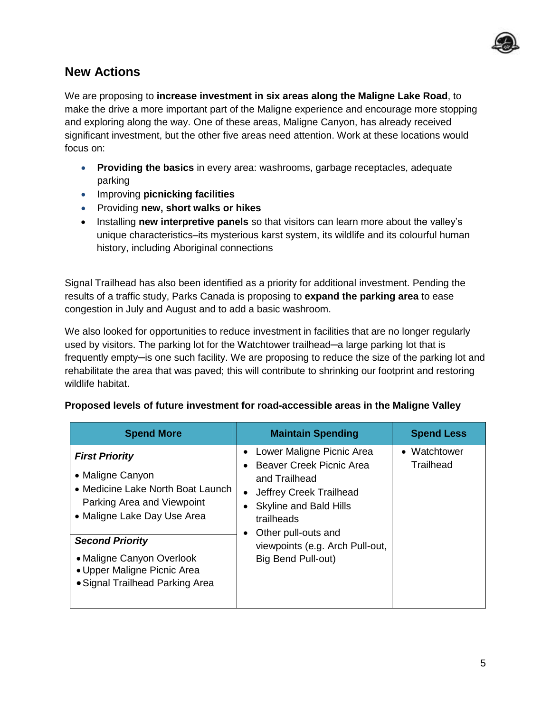

#### **New Actions**

We are proposing to **increase investment in six areas along the Maligne Lake Road**, to make the drive a more important part of the Maligne experience and encourage more stopping and exploring along the way. One of these areas, Maligne Canyon, has already received significant investment, but the other five areas need attention. Work at these locations would focus on:

- **Providing the basics** in every area: washrooms, garbage receptacles, adequate parking
- Improving **picnicking facilities**
- Providing **new, short walks or hikes**
- Installing **new interpretive panels** so that visitors can learn more about the valley's unique characteristics–its mysterious karst system, its wildlife and its colourful human history, including Aboriginal connections

Signal Trailhead has also been identified as a priority for additional investment. Pending the results of a traffic study, Parks Canada is proposing to **expand the parking area** to ease congestion in July and August and to add a basic washroom.

We also looked for opportunities to reduce investment in facilities that are no longer regularly used by visitors. The parking lot for the Watchtower trailhead—a large parking lot that is frequently empty—is one such facility. We are proposing to reduce the size of the parking lot and rehabilitate the area that was paved; this will contribute to shrinking our footprint and restoring wildlife habitat.

| <b>Spend More</b>                                                                                                                                                                                                                                                    | <b>Maintain Spending</b>                                                                                                                                                                                                         | <b>Spend Less</b>         |
|----------------------------------------------------------------------------------------------------------------------------------------------------------------------------------------------------------------------------------------------------------------------|----------------------------------------------------------------------------------------------------------------------------------------------------------------------------------------------------------------------------------|---------------------------|
| <b>First Priority</b><br>• Maligne Canyon<br>• Medicine Lake North Boat Launch<br>Parking Area and Viewpoint<br>• Maligne Lake Day Use Area<br><b>Second Priority</b><br>• Maligne Canyon Overlook<br>• Upper Maligne Picnic Area<br>• Signal Trailhead Parking Area | Lower Maligne Picnic Area<br>Beaver Creek Picnic Area<br>and Trailhead<br>Jeffrey Creek Trailhead<br><b>Skyline and Bald Hills</b><br>trailheads<br>Other pull-outs and<br>viewpoints (e.g. Arch Pull-out,<br>Big Bend Pull-out) | • Watchtower<br>Trailhead |

#### **Proposed levels of future investment for road-accessible areas in the Maligne Valley**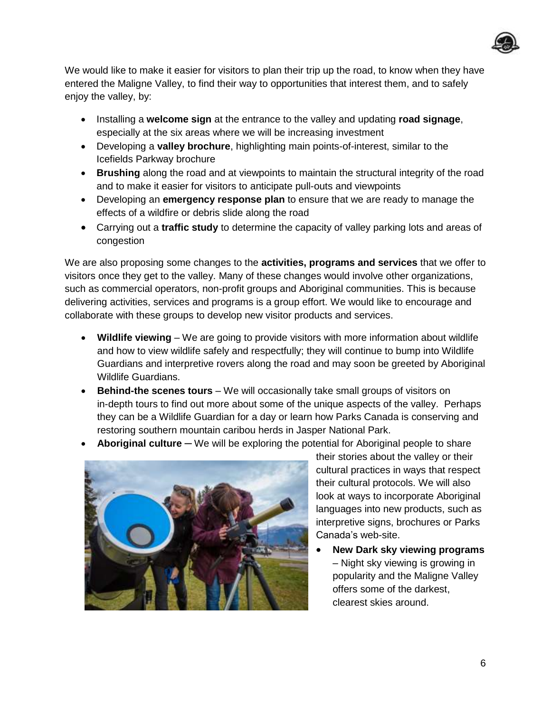

We would like to make it easier for visitors to plan their trip up the road, to know when they have entered the Maligne Valley, to find their way to opportunities that interest them, and to safely enjoy the valley, by:

- Installing a **welcome sign** at the entrance to the valley and updating **road signage**, especially at the six areas where we will be increasing investment
- Developing a **valley brochure**, highlighting main points-of-interest, similar to the Icefields Parkway brochure
- **Brushing** along the road and at viewpoints to maintain the structural integrity of the road and to make it easier for visitors to anticipate pull-outs and viewpoints
- Developing an **emergency response plan** to ensure that we are ready to manage the effects of a wildfire or debris slide along the road
- Carrying out a **traffic study** to determine the capacity of valley parking lots and areas of congestion

We are also proposing some changes to the **activities, programs and services** that we offer to visitors once they get to the valley. Many of these changes would involve other organizations, such as commercial operators, non-profit groups and Aboriginal communities. This is because delivering activities, services and programs is a group effort. We would like to encourage and collaborate with these groups to develop new visitor products and services.

- **Wildlife viewing**  We are going to provide visitors with more information about wildlife and how to view wildlife safely and respectfully; they will continue to bump into Wildlife Guardians and interpretive rovers along the road and may soon be greeted by Aboriginal Wildlife Guardians.
- **Behind-the scenes tours** We will occasionally take small groups of visitors on in-depth tours to find out more about some of the unique aspects of the valley. Perhaps they can be a Wildlife Guardian for a day or learn how Parks Canada is conserving and restoring southern mountain caribou herds in Jasper National Park.
- **Aboriginal culture** We will be exploring the potential for Aboriginal people to share



their stories about the valley or their cultural practices in ways that respect their cultural protocols. We will also look at ways to incorporate Aboriginal languages into new products, such as interpretive signs, brochures or Parks Canada's web-site.

 **New Dark sky viewing programs** – Night sky viewing is growing in popularity and the Maligne Valley offers some of the darkest, clearest skies around.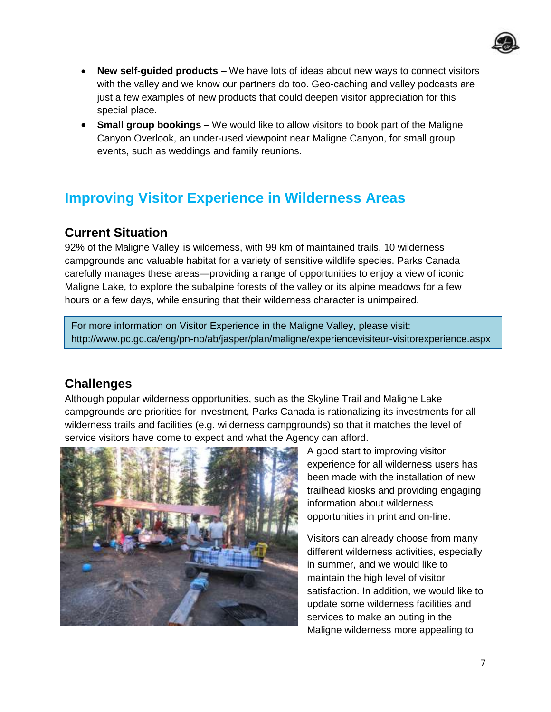

- **New self-guided products** We have lots of ideas about new ways to connect visitors with the valley and we know our partners do too. Geo-caching and valley podcasts are just a few examples of new products that could deepen visitor appreciation for this special place.
- **Small group bookings** We would like to allow visitors to book part of the Maligne Canyon Overlook, an under-used viewpoint near Maligne Canyon, for small group events, such as weddings and family reunions.

## **Improving Visitor Experience in Wilderness Areas**

## **Current Situation**

92% of the Maligne Valley is wilderness, with 99 km of maintained trails, 10 wilderness campgrounds and valuable habitat for a variety of sensitive wildlife species. Parks Canada carefully manages these areas—providing a range of opportunities to enjoy a view of iconic Maligne Lake, to explore the subalpine forests of the valley or its alpine meadows for a few hours or a few days, while ensuring that their wilderness character is unimpaired.

For more information on Visitor Experience in the Maligne Valley, please visit: http://www.pc.gc.ca/eng/pn-np/ab/jasper/plan/maligne/experiencevisiteur-visitorexperience.aspx

## **Challenges**

Although popular wilderness opportunities, such as the Skyline Trail and Maligne Lake campgrounds are priorities for investment, Parks Canada is rationalizing its investments for all wilderness trails and facilities (e.g. wilderness campgrounds) so that it matches the level of service visitors have come to expect and what the Agency can afford.



A good start to improving visitor experience for all wilderness users has been made with the installation of new trailhead kiosks and providing engaging information about wilderness opportunities in print and on-line.

Visitors can already choose from many different wilderness activities, especially in summer, and we would like to maintain the high level of visitor satisfaction. In addition, we would like to update some wilderness facilities and services to make an outing in the Maligne wilderness more appealing to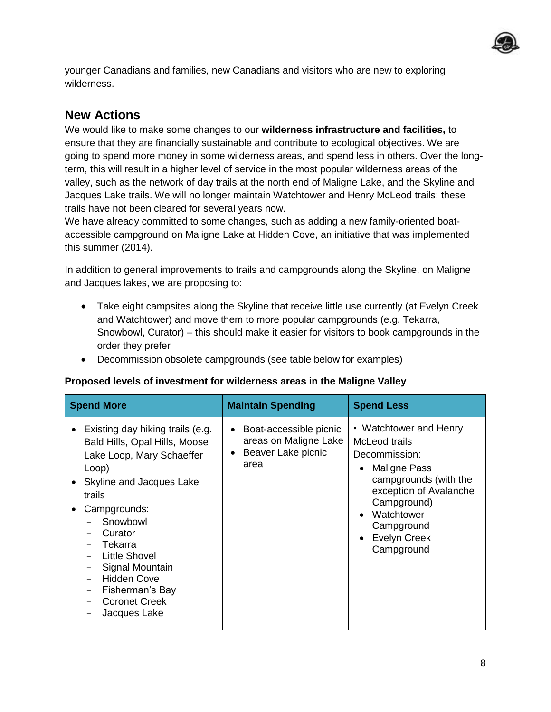

younger Canadians and families, new Canadians and visitors who are new to exploring wilderness.

## **New Actions**

We would like to make some changes to our **wilderness infrastructure and facilities,** to ensure that they are financially sustainable and contribute to ecological objectives. We are going to spend more money in some wilderness areas, and spend less in others. Over the longterm, this will result in a higher level of service in the most popular wilderness areas of the valley, such as the network of day trails at the north end of Maligne Lake, and the Skyline and Jacques Lake trails. We will no longer maintain Watchtower and Henry McLeod trails; these trails have not been cleared for several years now.

We have already committed to some changes, such as adding a new family-oriented boataccessible campground on Maligne Lake at Hidden Cove, an initiative that was implemented this summer (2014).

In addition to general improvements to trails and campgrounds along the Skyline, on Maligne and Jacques lakes, we are proposing to:

- Take eight campsites along the Skyline that receive little use currently (at Evelyn Creek and Watchtower) and move them to more popular campgrounds (e.g. Tekarra, Snowbowl, Curator) – this should make it easier for visitors to book campgrounds in the order they prefer
- Decommission obsolete campgrounds (see table below for examples)

#### **Proposed levels of investment for wilderness areas in the Maligne Valley**

| <b>Spend More</b>                                                                                                                                                                                                                                                                                                                             | <b>Maintain Spending</b>                                                                                | <b>Spend Less</b>                                                                                                                                                                                                                          |
|-----------------------------------------------------------------------------------------------------------------------------------------------------------------------------------------------------------------------------------------------------------------------------------------------------------------------------------------------|---------------------------------------------------------------------------------------------------------|--------------------------------------------------------------------------------------------------------------------------------------------------------------------------------------------------------------------------------------------|
| Existing day hiking trails (e.g.<br>$\bullet$<br>Bald Hills, Opal Hills, Moose<br>Lake Loop, Mary Schaeffer<br>Loop)<br>Skyline and Jacques Lake<br>trails<br>Campgrounds:<br>٠<br>Snowbowl<br>Curator<br>Tekarra<br><b>Little Shovel</b><br>Signal Mountain<br><b>Hidden Cove</b><br>Fisherman's Bay<br><b>Coronet Creek</b><br>Jacques Lake | Boat-accessible picnic<br>$\bullet$<br>areas on Maligne Lake<br>Beaver Lake picnic<br>$\bullet$<br>area | • Watchtower and Henry<br>McLeod trails<br>Decommission:<br>Maligne Pass<br>٠<br>campgrounds (with the<br>exception of Avalanche<br>Campground)<br>Watchtower<br>$\bullet$<br>Campground<br><b>Evelyn Creek</b><br>$\bullet$<br>Campground |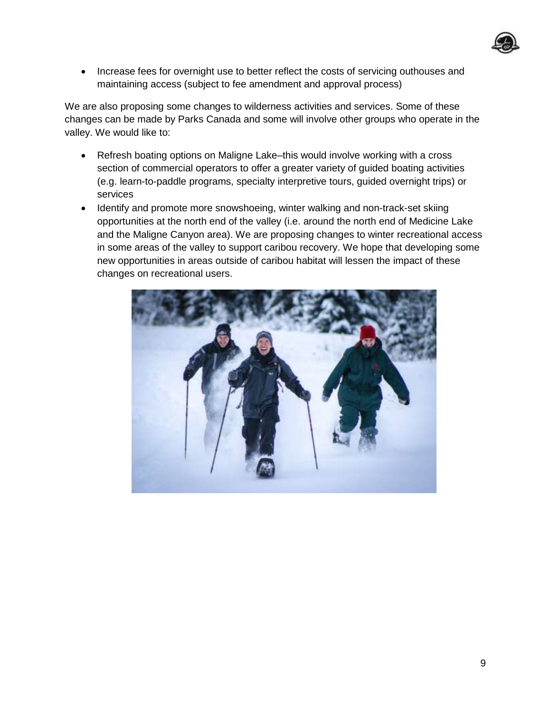

• Increase fees for overnight use to better reflect the costs of servicing outhouses and maintaining access (subject to fee amendment and approval process)

We are also proposing some changes to wilderness activities and services. Some of these changes can be made by Parks Canada and some will involve other groups who operate in the valley. We would like to:

- Refresh boating options on Maligne Lake–this would involve working with a cross section of commercial operators to offer a greater variety of guided boating activities (e.g. learn-to-paddle programs, specialty interpretive tours, guided overnight trips) or services
- Identify and promote more snowshoeing, winter walking and non-track-set skiing opportunities at the north end of the valley (i.e. around the north end of Medicine Lake and the Maligne Canyon area). We are proposing changes to winter recreational access in some areas of the valley to support caribou recovery. We hope that developing some new opportunities in areas outside of caribou habitat will lessen the impact of these changes on recreational users.

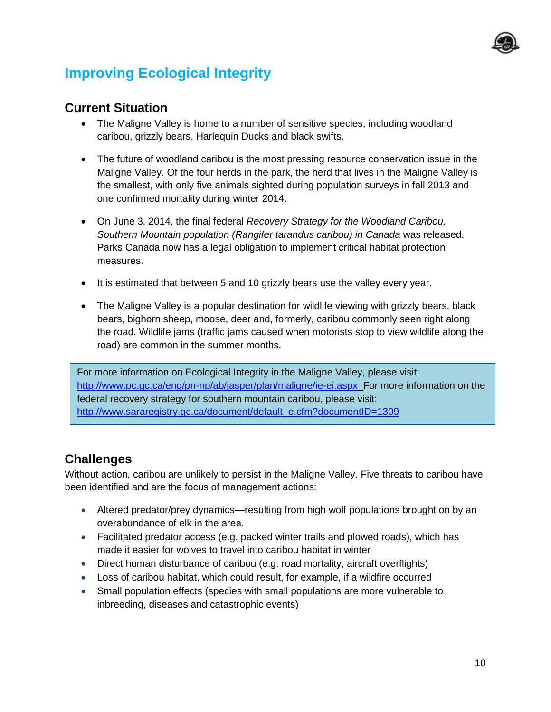

# **Improving Ecological Integrity**

#### **Current Situation**

- The Maligne Valley is home to a number of sensitive species, including woodland caribou, grizzly bears, Harlequin Ducks and black swifts.
- The future of woodland caribou is the most pressing resource conservation issue in the Maligne Valley. Of the four herds in the park, the herd that lives in the Maligne Valley is the smallest, with only five animals sighted during population surveys in fall 2013 and one confirmed mortality during winter 2014.
- On June 3, 2014, the final federal *Recovery Strategy for the Woodland Caribou, Southern Mountain population (Rangifer tarandus caribou) in Canada* was released. Parks Canada now has a legal obligation to implement critical habitat protection measures.
- It is estimated that between 5 and 10 grizzly bears use the valley every year.
- The Maligne Valley is a popular destination for wildlife viewing with grizzly bears, black bears, bighorn sheep, moose, deer and, formerly, caribou commonly seen right along the road. Wildlife jams (traffic jams caused when motorists stop to view wildlife along the road) are common in the summer months.

For more information on Ecological Integrity in the Maligne Valley, please visit: <http://www.pc.gc.ca/eng/pn-np/ab/jasper/plan/maligne/ie-ei.aspx>For more information on the federal recovery strategy for southern mountain caribou, please visit: http://www.sararegistry.gc.ca/document/default\_e.cfm?documentID=1309

## **Challenges**

Without action, caribou are unlikely to persist in the Maligne Valley. Five threats to caribou have been identified and are the focus of management actions:

- Altered predator/prey dynamics—resulting from high wolf populations brought on by an overabundance of elk in the area.
- Facilitated predator access (e.g. packed winter trails and plowed roads), which has made it easier for wolves to travel into caribou habitat in winter
- Direct human disturbance of caribou (e.g. road mortality, aircraft overflights)
- Loss of caribou habitat, which could result, for example, if a wildfire occurred
- Small population effects (species with small populations are more vulnerable to inbreeding, diseases and catastrophic events)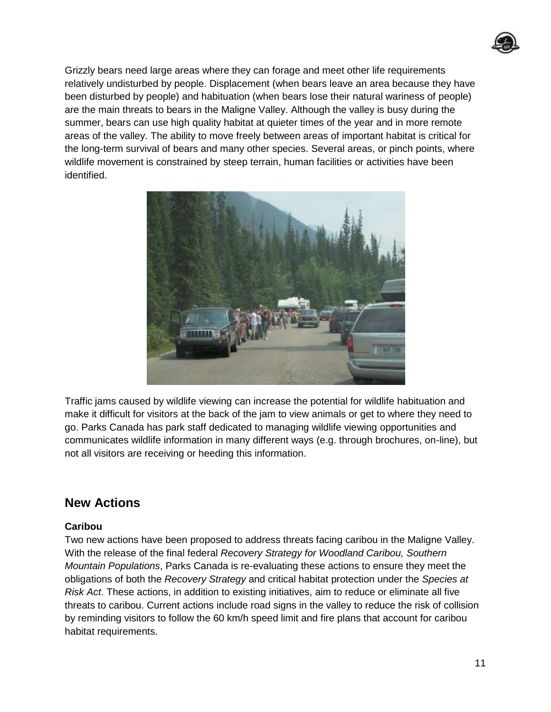

Grizzly bears need large areas where they can forage and meet other life requirements relatively undisturbed by people. Displacement (when bears leave an area because they have been disturbed by people) and habituation (when bears lose their natural wariness of people) are the main threats to bears in the Maligne Valley. Although the valley is busy during the summer, bears can use high quality habitat at quieter times of the year and in more remote areas of the valley. The ability to move freely between areas of important habitat is critical for the long-term survival of bears and many other species. Several areas, or pinch points, where wildlife movement is constrained by steep terrain, human facilities or activities have been identified.



Traffic jams caused by wildlife viewing can increase the potential for wildlife habituation and make it difficult for visitors at the back of the jam to view animals or get to where they need to go. Parks Canada has park staff dedicated to managing wildlife viewing opportunities and communicates wildlife information in many different ways (e.g. through brochures, on-line), but not all visitors are receiving or heeding this information.

#### **New Actions**

#### **Caribou**

Two new actions have been proposed to address threats facing caribou in the Maligne Valley. With the release of the final federal *Recovery Strategy for Woodland Caribou, Southern Mountain Populations*, Parks Canada is re-evaluating these actions to ensure they meet the obligations of both the *Recovery Strategy* and critical habitat protection under the *Species at Risk Act*. These actions, in addition to existing initiatives, aim to reduce or eliminate all five threats to caribou. Current actions include road signs in the valley to reduce the risk of collision by reminding visitors to follow the 60 km/h speed limit and fire plans that account for caribou habitat requirements.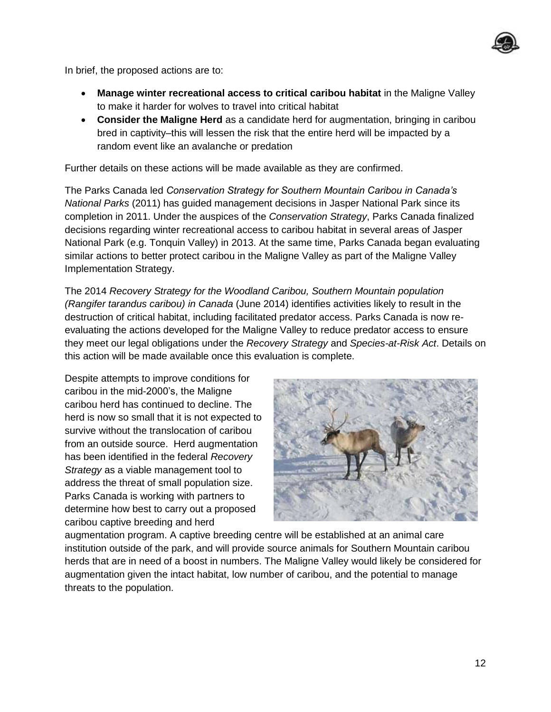

In brief, the proposed actions are to:

- **Manage winter recreational access to critical caribou habitat** in the Maligne Valley to make it harder for wolves to travel into critical habitat
- **Consider the Maligne Herd** as a candidate herd for augmentation, bringing in caribou bred in captivity–this will lessen the risk that the entire herd will be impacted by a random event like an avalanche or predation

Further details on these actions will be made available as they are confirmed.

The Parks Canada led *Conservation Strategy for Southern Mountain Caribou in Canada's National Parks* (2011) has guided management decisions in Jasper National Park since its completion in 2011. Under the auspices of the *Conservation Strategy*, Parks Canada finalized decisions regarding winter recreational access to caribou habitat in several areas of Jasper National Park (e.g. Tonquin Valley) in 2013. At the same time, Parks Canada began evaluating similar actions to better protect caribou in the Maligne Valley as part of the Maligne Valley Implementation Strategy.

The 2014 *Recovery Strategy for the Woodland Caribou, Southern Mountain population (Rangifer tarandus caribou) in Canada* (June 2014) identifies activities likely to result in the destruction of critical habitat, including facilitated predator access. Parks Canada is now reevaluating the actions developed for the Maligne Valley to reduce predator access to ensure they meet our legal obligations under the *Recovery Strategy* and *Species-at-Risk Act*. Details on this action will be made available once this evaluation is complete.

Despite attempts to improve conditions for caribou in the mid-2000's, the Maligne caribou herd has continued to decline. The herd is now so small that it is not expected to survive without the translocation of caribou from an outside source. Herd augmentation has been identified in the federal *Recovery Strategy* as a viable management tool to address the threat of small population size. Parks Canada is working with partners to determine how best to carry out a proposed caribou captive breeding and herd



augmentation program. A captive breeding centre will be established at an animal care institution outside of the park, and will provide source animals for Southern Mountain caribou herds that are in need of a boost in numbers. The Maligne Valley would likely be considered for augmentation given the intact habitat, low number of caribou, and the potential to manage threats to the population.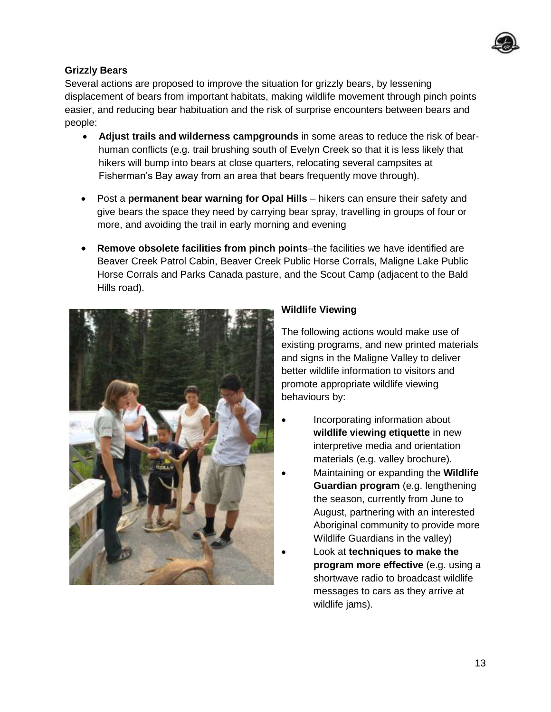

#### **Grizzly Bears**

Several actions are proposed to improve the situation for grizzly bears, by lessening displacement of bears from important habitats, making wildlife movement through pinch points easier, and reducing bear habituation and the risk of surprise encounters between bears and people:

- **Adjust trails and wilderness campgrounds** in some areas to reduce the risk of bearhuman conflicts (e.g. trail brushing south of Evelyn Creek so that it is less likely that hikers will bump into bears at close quarters, relocating several campsites at Fisherman's Bay away from an area that bears frequently move through).
- Post a **permanent bear warning for Opal Hills** hikers can ensure their safety and give bears the space they need by carrying bear spray, travelling in groups of four or more, and avoiding the trail in early morning and evening
- **Remove obsolete facilities from pinch points**–the facilities we have identified are Beaver Creek Patrol Cabin, Beaver Creek Public Horse Corrals, Maligne Lake Public Horse Corrals and Parks Canada pasture, and the Scout Camp (adjacent to the Bald Hills road).



#### **Wildlife Viewing**

The following actions would make use of existing programs, and new printed materials and signs in the Maligne Valley to deliver better wildlife information to visitors and promote appropriate wildlife viewing behaviours by:

- Incorporating information about **wildlife viewing etiquette** in new interpretive media and orientation materials (e.g. valley brochure).
- Maintaining or expanding the **Wildlife Guardian program** (e.g. lengthening the season, currently from June to August, partnering with an interested Aboriginal community to provide more Wildlife Guardians in the valley)
- Look at **techniques to make the program more effective** (e.g. using a shortwave radio to broadcast wildlife messages to cars as they arrive at wildlife jams).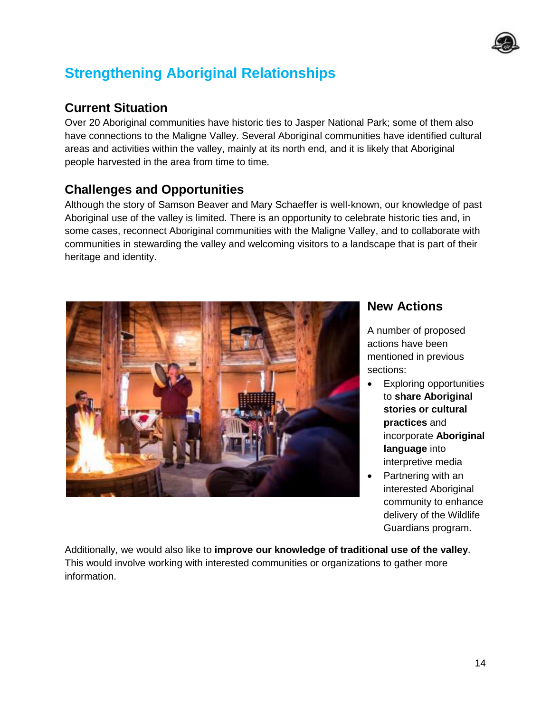

# **Strengthening Aboriginal Relationships**

## **Current Situation**

Over 20 Aboriginal communities have historic ties to Jasper National Park; some of them also have connections to the Maligne Valley. Several Aboriginal communities have identified cultural areas and activities within the valley, mainly at its north end, and it is likely that Aboriginal people harvested in the area from time to time.

## **Challenges and Opportunities**

Although the story of Samson Beaver and Mary Schaeffer is well-known, our knowledge of past Aboriginal use of the valley is limited. There is an opportunity to celebrate historic ties and, in some cases, reconnect Aboriginal communities with the Maligne Valley, and to collaborate with communities in stewarding the valley and welcoming visitors to a landscape that is part of their heritage and identity.



#### **New Actions**

A number of proposed actions have been mentioned in previous sections:

- Exploring opportunities to **share Aboriginal stories or cultural practices** and incorporate **Aboriginal language** into interpretive media
- Partnering with an interested Aboriginal community to enhance delivery of the Wildlife Guardians program.

Additionally, we would also like to **improve our knowledge of traditional use of the valley**. This would involve working with interested communities or organizations to gather more information.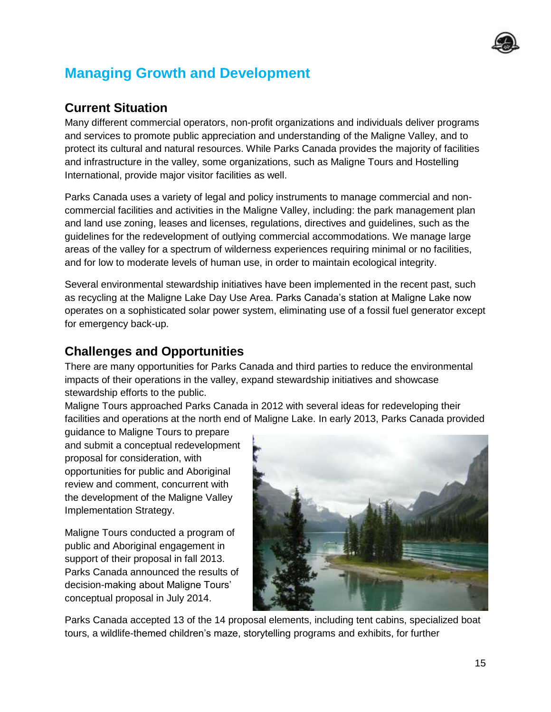

# **Managing Growth and Development**

## **Current Situation**

Many different commercial operators, non-profit organizations and individuals deliver programs and services to promote public appreciation and understanding of the Maligne Valley, and to protect its cultural and natural resources. While Parks Canada provides the majority of facilities and infrastructure in the valley, some organizations, such as Maligne Tours and Hostelling International, provide major visitor facilities as well.

Parks Canada uses a variety of legal and policy instruments to manage commercial and noncommercial facilities and activities in the Maligne Valley, including: the park management plan and land use zoning, leases and licenses, regulations, directives and guidelines, such as the guidelines for the redevelopment of outlying commercial accommodations. We manage large areas of the valley for a spectrum of wilderness experiences requiring minimal or no facilities, and for low to moderate levels of human use, in order to maintain ecological integrity.

Several environmental stewardship initiatives have been implemented in the recent past, such as recycling at the Maligne Lake Day Use Area. Parks Canada's station at Maligne Lake now operates on a sophisticated solar power system, eliminating use of a fossil fuel generator except for emergency back-up.

## **Challenges and Opportunities**

There are many opportunities for Parks Canada and third parties to reduce the environmental impacts of their operations in the valley, expand stewardship initiatives and showcase stewardship efforts to the public.

Maligne Tours approached Parks Canada in 2012 with several ideas for redeveloping their facilities and operations at the north end of Maligne Lake. In early 2013, Parks Canada provided

guidance to Maligne Tours to prepare and submit a conceptual redevelopment proposal for consideration, with opportunities for public and Aboriginal review and comment, concurrent with the development of the Maligne Valley Implementation Strategy.

Maligne Tours conducted a program of public and Aboriginal engagement in support of their proposal in fall 2013. Parks Canada announced the results of decision-making about Maligne Tours' conceptual proposal in July 2014.



Parks Canada accepted 13 of the 14 proposal elements, including tent cabins, specialized boat tours, a wildlife-themed children's maze, storytelling programs and exhibits, for further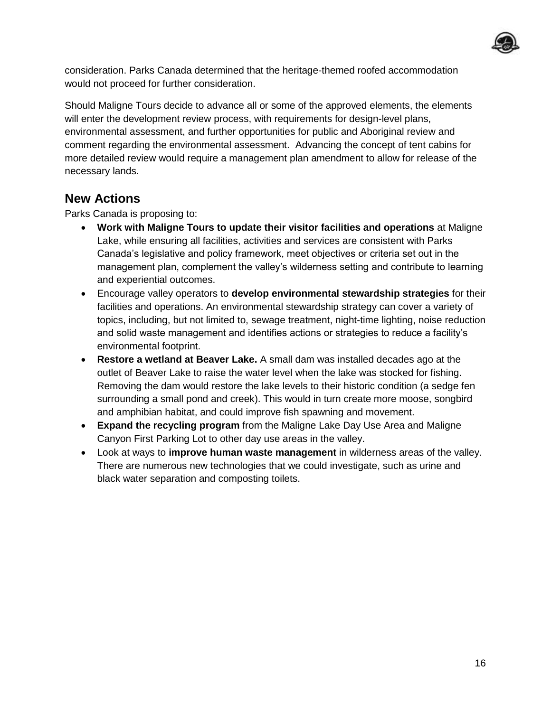

consideration. Parks Canada determined that the heritage-themed roofed accommodation would not proceed for further consideration.

Should Maligne Tours decide to advance all or some of the approved elements, the elements will enter the development review process, with requirements for design-level plans, environmental assessment, and further opportunities for public and Aboriginal review and comment regarding the environmental assessment. Advancing the concept of tent cabins for more detailed review would require a management plan amendment to allow for release of the necessary lands.

#### **New Actions**

Parks Canada is proposing to:

- **Work with Maligne Tours to update their visitor facilities and operations** at Maligne Lake, while ensuring all facilities, activities and services are consistent with Parks Canada's legislative and policy framework, meet objectives or criteria set out in the management plan, complement the valley's wilderness setting and contribute to learning and experiential outcomes.
- Encourage valley operators to **develop environmental stewardship strategies** for their facilities and operations. An environmental stewardship strategy can cover a variety of topics, including, but not limited to, sewage treatment, night-time lighting, noise reduction and solid waste management and identifies actions or strategies to reduce a facility's environmental footprint.
- **Restore a wetland at Beaver Lake.** A small dam was installed decades ago at the outlet of Beaver Lake to raise the water level when the lake was stocked for fishing. Removing the dam would restore the lake levels to their historic condition (a sedge fen surrounding a small pond and creek). This would in turn create more moose, songbird and amphibian habitat, and could improve fish spawning and movement.
- **Expand the recycling program** from the Maligne Lake Day Use Area and Maligne Canyon First Parking Lot to other day use areas in the valley.
- Look at ways to **improve human waste management** in wilderness areas of the valley. There are numerous new technologies that we could investigate, such as urine and black water separation and composting toilets.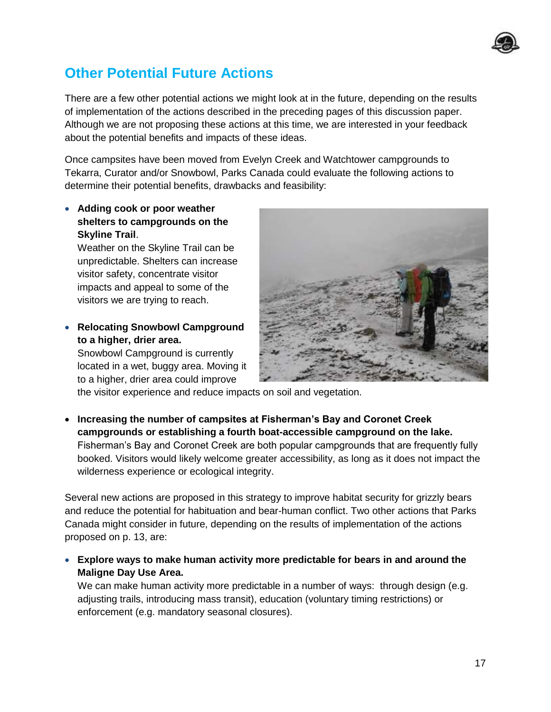

## **Other Potential Future Actions**

There are a few other potential actions we might look at in the future, depending on the results of implementation of the actions described in the preceding pages of this discussion paper. Although we are not proposing these actions at this time, we are interested in your feedback about the potential benefits and impacts of these ideas.

Once campsites have been moved from Evelyn Creek and Watchtower campgrounds to Tekarra, Curator and/or Snowbowl, Parks Canada could evaluate the following actions to determine their potential benefits, drawbacks and feasibility:

 **Adding cook or poor weather shelters to campgrounds on the Skyline Trail**.

Weather on the Skyline Trail can be unpredictable. Shelters can increase visitor safety, concentrate visitor impacts and appeal to some of the visitors we are trying to reach.

 **Relocating Snowbowl Campground to a higher, drier area.**

Snowbowl Campground is currently located in a wet, buggy area. Moving it to a higher, drier area could improve



the visitor experience and reduce impacts on soil and vegetation.

 **Increasing the number of campsites at Fisherman's Bay and Coronet Creek campgrounds or establishing a fourth boat-accessible campground on the lake.** Fisherman's Bay and Coronet Creek are both popular campgrounds that are frequently fully booked. Visitors would likely welcome greater accessibility, as long as it does not impact the wilderness experience or ecological integrity.

Several new actions are proposed in this strategy to improve habitat security for grizzly bears and reduce the potential for habituation and bear-human conflict. Two other actions that Parks Canada might consider in future, depending on the results of implementation of the actions proposed on p. 13, are:

 **Explore ways to make human activity more predictable for bears in and around the Maligne Day Use Area.** 

We can make human activity more predictable in a number of ways: through design (e.g. adjusting trails, introducing mass transit), education (voluntary timing restrictions) or enforcement (e.g. mandatory seasonal closures).